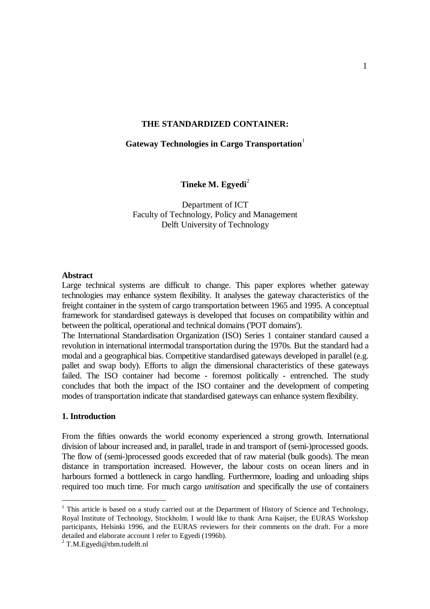### **THE STANDARDIZED CONTAINER:**

### Gateway Technologies in Cargo Transportation<sup>1</sup>

**Tineke M. Egyedi**<sup>2</sup>

Department of ICT Faculty of Technology, Policy and Management Delft University of Technology

#### **Abstract**

Large technical systems are difficult to change. This paper explores whether gateway technologies may enhance system flexibility. It analyses the gateway characteristics of the freight container in the system of cargo transportation between 1965 and 1995. A conceptual framework for standardised gateways is developed that focuses on compatibility within and between the political, operational and technical domains ('POT domains').

The International Standardisation Organization (ISO) Series 1 container standard caused a revolution in international intermodal transportation during the 1970s. But the standard had a modal and a geographical bias. Competitive standardised gateways developed in parallel (e.g. pallet and swap body). Efforts to align the dimensional characteristics of these gateways failed. The ISO container had become - foremost politically - entrenched. The study concludes that both the impact of the ISO container and the development of competing modes of transportation indicate that standardised gateways can enhance system flexibility.

## **1. Introduction**

From the fifties onwards the world economy experienced a strong growth. International division of labour increased and, in parallel, trade in and transport of (semi-)processed goods. The flow of (semi-)processed goods exceeded that of raw material (bulk goods). The mean distance in transportation increased. However, the labour costs on ocean liners and in harbours formed a bottleneck in cargo handling. Furthermore, loading and unloading ships required too much time. For much cargo *unitisation* and specifically the use of containers

<sup>&</sup>lt;sup>1</sup> This article is based on a study carried out at the Department of History of Science and Technology, Royal Institute of Technology, Stockholm. I would like to thank Arna Kaijser, the EURAS Workshop participants, Helsinki 1996, and the EURAS reviewers for their comments on the draft. For a more detailed and elaborate account I refer to Egyedi (1996b).

 $2$  T.M. Egyedi@tbm.tudelft.nl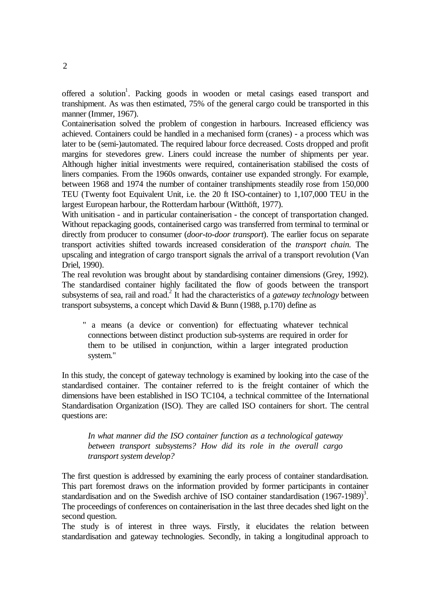offered a solution<sup>1</sup>. Packing goods in wooden or metal casings eased transport and transhipment. As was then estimated, 75% of the general cargo could be transported in this manner (Immer, 1967).

Containerisation solved the problem of congestion in harbours. Increased efficiency was achieved. Containers could be handled in a mechanised form (cranes) - a process which was later to be (semi-)automated. The required labour force decreased. Costs dropped and profit margins for stevedores grew. Liners could increase the number of shipments per year. Although higher initial investments were required, containerisation stabilised the costs of liners companies. From the 1960s onwards, container use expanded strongly. For example, between 1968 and 1974 the number of container transhipments steadily rose from 150,000 TEU (Twenty foot Equivalent Unit, i.e. the 20 ft ISO-container) to 1,107,000 TEU in the largest European harbour, the Rotterdam harbour (Witthöft, 1977).

With unitisation - and in particular containerisation - the concept of transportation changed. Without repackaging goods, containerised cargo was transferred from terminal to terminal or directly from producer to consumer (*door-to-door transport*). The earlier focus on separate transport activities shifted towards increased consideration of the *transport chain*. The upscaling and integration of cargo transport signals the arrival of a transport revolution (Van Driel, 1990).

The real revolution was brought about by standardising container dimensions (Grey, 1992). The standardised container highly facilitated the flow of goods between the transport subsystems of sea, rail and road.<sup>2</sup> It had the characteristics of a *gateway technology* between transport subsystems, a concept which David  $\&$  Bunn (1988, p.170) define as

" a means (a device or convention) for effectuating whatever technical connections between distinct production sub-systems are required in order for them to be utilised in conjunction, within a larger integrated production system."

In this study, the concept of gateway technology is examined by looking into the case of the standardised container. The container referred to is the freight container of which the dimensions have been established in ISO TC104, a technical committee of the International Standardisation Organization (ISO). They are called ISO containers for short. The central questions are:

*In what manner did the ISO container function as a technological gateway between transport subsystems? How did its role in the overall cargo transport system develop?*

The first question is addressed by examining the early process of container standardisation. This part foremost draws on the information provided by former participants in container standardisation and on the Swedish archive of ISO container standardisation  $(1967-1989)^3$ . The proceedings of conferences on containerisation in the last three decades shed light on the second question.

The study is of interest in three ways. Firstly, it elucidates the relation between standardisation and gateway technologies. Secondly, in taking a longitudinal approach to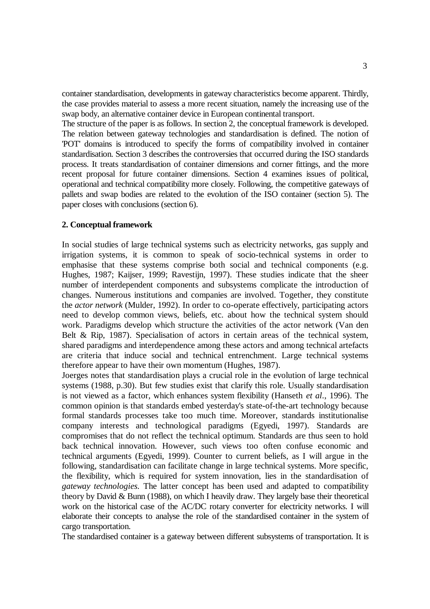container standardisation, developments in gateway characteristics become apparent. Thirdly, the case provides material to assess a more recent situation, namely the increasing use of the swap body, an alternative container device in European continental transport.

The structure of the paper is as follows. In section 2, the conceptual framework is developed. The relation between gateway technologies and standardisation is defined. The notion of 'POT' domains is introduced to specify the forms of compatibility involved in container standardisation. Section 3 describes the controversies that occurred during the ISO standards process. It treats standardisation of container dimensions and corner fittings, and the more recent proposal for future container dimensions. Section 4 examines issues of political, operational and technical compatibility more closely. Following, the competitive gateways of pallets and swap bodies are related to the evolution of the ISO container (section 5). The paper closes with conclusions (section 6).

#### **2. Conceptual framework**

In social studies of large technical systems such as electricity networks, gas supply and irrigation systems, it is common to speak of socio-technical systems in order to emphasise that these systems comprise both social and technical components (e.g. Hughes, 1987; Kaijser, 1999; Ravestijn, 1997). These studies indicate that the sheer number of interdependent components and subsystems complicate the introduction of changes. Numerous institutions and companies are involved. Together, they constitute the *actor network* (Mulder, 1992). In order to co-operate effectively, participating actors need to develop common views, beliefs, etc. about how the technical system should work. Paradigms develop which structure the activities of the actor network (Van den Belt & Rip, 1987). Specialisation of actors in certain areas of the technical system, shared paradigms and interdependence among these actors and among technical artefacts are criteria that induce social and technical entrenchment. Large technical systems therefore appear to have their own momentum (Hughes, 1987).

Joerges notes that standardisation plays a crucial role in the evolution of large technical systems (1988, p.30). But few studies exist that clarify this role. Usually standardisation is not viewed as a factor, which enhances system flexibility (Hanseth *et al*., 1996). The common opinion is that standards embed yesterday's state-of-the-art technology because formal standards processes take too much time. Moreover, standards institutionalise company interests and technological paradigms (Egyedi, 1997). Standards are compromises that do not reflect the technical optimum. Standards are thus seen to hold back technical innovation. However, such views too often confuse economic and technical arguments (Egyedi, 1999). Counter to current beliefs, as I will argue in the following, standardisation can facilitate change in large technical systems. More specific, the flexibility, which is required for system innovation, lies in the standardisation of *gateway technologies.* The latter concept has been used and adapted to compatibility theory by David & Bunn (1988), on which I heavily draw. They largely base their theoretical work on the historical case of the AC/DC rotary converter for electricity networks. I will elaborate their concepts to analyse the role of the standardised container in the system of cargo transportation.

The standardised container is a gateway between different subsystems of transportation. It is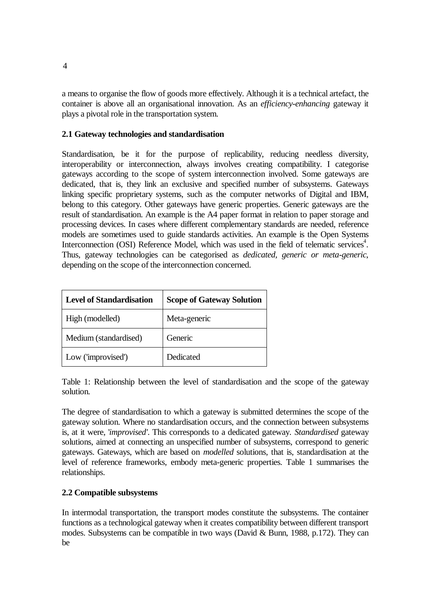a means to organise the flow of goods more effectively. Although it is a technical artefact, the container is above all an organisational innovation. As an *efficiency-enhancing* gateway it plays a pivotal role in the transportation system.

## **2.1 Gateway technologies and standardisation**

Standardisation, be it for the purpose of replicability, reducing needless diversity, interoperability or interconnection, always involves creating compatibility. I categorise gateways according to the scope of system interconnection involved. Some gateways are dedicated, that is, they link an exclusive and specified number of subsystems. Gateways linking specific proprietary systems, such as the computer networks of Digital and IBM, belong to this category. Other gateways have generic properties. Generic gateways are the result of standardisation. An example is the A4 paper format in relation to paper storage and processing devices. In cases where different complementary standards are needed, reference models are sometimes used to guide standards activities. An example is the Open Systems Interconnection (OSI) Reference Model, which was used in the field of telematic services<sup>4</sup>. Thus, gateway technologies can be categorised as *dedicated, generic or meta-generic*, depending on the scope of the interconnection concerned.

| <b>Level of Standardisation</b> | <b>Scope of Gateway Solution</b> |
|---------------------------------|----------------------------------|
| High (modelled)                 | Meta-generic                     |
| Medium (standardised)           | Generic                          |
| Low ('improvised')              | Dedicated                        |

Table 1: Relationship between the level of standardisation and the scope of the gateway solution.

The degree of standardisation to which a gateway is submitted determines the scope of the gateway solution. Where no standardisation occurs, and the connection between subsystems is, at it were, '*improvised'*. This corresponds to a dedicated gateway. *Standardised* gateway solutions, aimed at connecting an unspecified number of subsystems, correspond to generic gateways. Gateways, which are based on *modelled* solutions, that is, standardisation at the level of reference frameworks, embody meta-generic properties. Table 1 summarises the relationships.

## **2.2 Compatible subsystems**

In intermodal transportation, the transport modes constitute the subsystems. The container functions as a technological gateway when it creates compatibility between different transport modes. Subsystems can be compatible in two ways (David & Bunn, 1988, p.172). They can be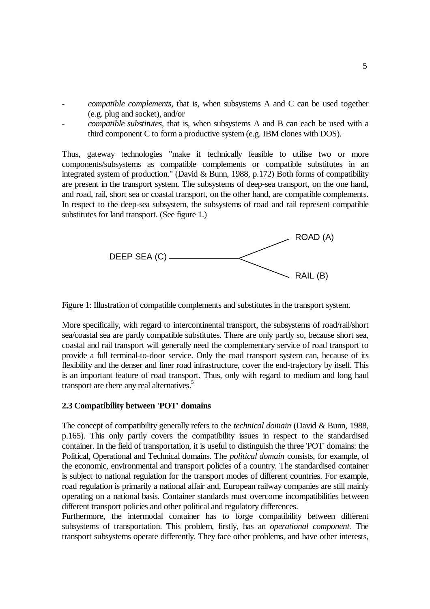- *compatible complements,* that is, when subsystems A and C can be used together (e.g. plug and socket), and/or
- *compatible substitutes,* that is, when subsystems A and B can each be used with a third component C to form a productive system (e.g. IBM clones with DOS).

Thus, gateway technologies "make it technically feasible to utilise two or more components/subsystems as compatible complements or compatible substitutes in an integrated system of production." (David & Bunn, 1988, p.172) Both forms of compatibility are present in the transport system. The subsystems of deep-sea transport, on the one hand, and road, rail, short sea or coastal transport, on the other hand, are compatible complements. In respect to the deep-sea subsystem, the subsystems of road and rail represent compatible substitutes for land transport. (See figure 1.)



Figure 1: Illustration of compatible complements and substitutes in the transport system.

More specifically, with regard to intercontinental transport, the subsystems of road/rail/short sea/coastal sea are partly compatible substitutes. There are only partly so, because short sea, coastal and rail transport will generally need the complementary service of road transport to provide a full terminal-to-door service. Only the road transport system can, because of its flexibility and the denser and finer road infrastructure, cover the end-trajectory by itself. This is an important feature of road transport. Thus, only with regard to medium and long haul transport are there any real alternatives.<sup>5</sup>

### **2.3 Compatibility between 'POT' domains**

The concept of compatibility generally refers to the *technical domain* (David & Bunn, 1988, p.165). This only partly covers the compatibility issues in respect to the standardised container. In the field of transportation, it is useful to distinguish the three 'POT' domains: the Political, Operational and Technical domains. The *political domain* consists, for example, of the economic, environmental and transport policies of a country. The standardised container is subject to national regulation for the transport modes of different countries. For example, road regulation is primarily a national affair and, European railway companies are still mainly operating on a national basis. Container standards must overcome incompatibilities between different transport policies and other political and regulatory differences.

Furthermore, the intermodal container has to forge compatibility between different subsystems of transportation. This problem, firstly, has an *operational component*. The transport subsystems operate differently. They face other problems, and have other interests,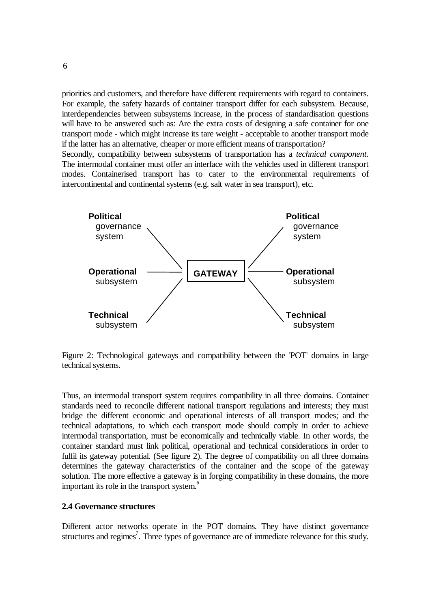priorities and customers, and therefore have different requirements with regard to containers. For example, the safety hazards of container transport differ for each subsystem. Because, interdependencies between subsystems increase, in the process of standardisation questions will have to be answered such as: Are the extra costs of designing a safe container for one transport mode - which might increase its tare weight - acceptable to another transport mode if the latter has an alternative, cheaper or more efficient means of transportation? Secondly, compatibility between subsystems of transportation has a *technical component*. The intermodal container must offer an interface with the vehicles used in different transport modes. Containerised transport has to cater to the environmental requirements of intercontinental and continental systems (e.g. salt water in sea transport), etc.



Figure 2: Technological gateways and compatibility between the 'POT' domains in large technical systems.

Thus, an intermodal transport system requires compatibility in all three domains. Container standards need to reconcile different national transport regulations and interests; they must bridge the different economic and operational interests of all transport modes; and the technical adaptations, to which each transport mode should comply in order to achieve intermodal transportation, must be economically and technically viable. In other words, the container standard must link political, operational and technical considerations in order to fulfil its gateway potential. (See figure 2). The degree of compatibility on all three domains determines the gateway characteristics of the container and the scope of the gateway solution. The more effective a gateway is in forging compatibility in these domains, the more important its role in the transport system.<sup>6</sup>

#### **2.4 Governance structures**

Different actor networks operate in the POT domains. They have distinct governance structures and regimes<sup>7</sup>. Three types of governance are of immediate relevance for this study.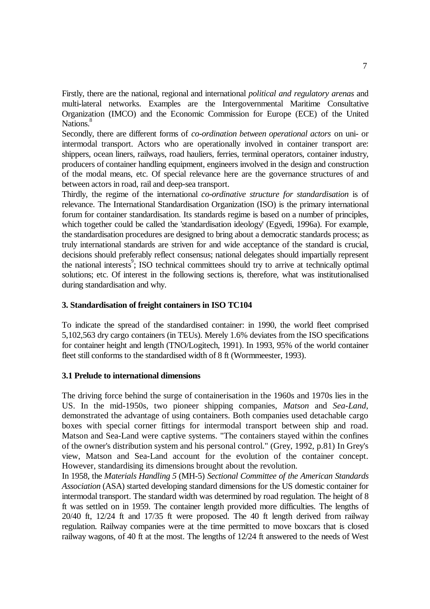Firstly, there are the national, regional and international *political and regulatory arenas* and multi-lateral networks. Examples are the Intergovernmental Maritime Consultative Organization (IMCO) and the Economic Commission for Europe (ECE) of the United Nations.<sup>8</sup>

Secondly, there are different forms of *co-ordination between operational actors* on uni- or intermodal transport. Actors who are operationally involved in container transport are: shippers, ocean liners, railways, road hauliers, ferries, terminal operators, container industry, producers of container handling equipment, engineers involved in the design and construction of the modal means, etc. Of special relevance here are the governance structures of and between actors in road, rail and deep-sea transport.

Thirdly, the regime of the international *co-ordinative structure for standardisation* is of relevance. The International Standardisation Organization (ISO) is the primary international forum for container standardisation. Its standards regime is based on a number of principles, which together could be called the 'standardisation ideology' (Egyedi, 1996a). For example, the standardisation procedures are designed to bring about a democratic standards process; as truly international standards are striven for and wide acceptance of the standard is crucial, decisions should preferably reflect consensus; national delegates should impartially represent the national interests<sup>9</sup>; ISO technical committees should try to arrive at technically optimal solutions; etc. Of interest in the following sections is, therefore, what was institutionalised during standardisation and why.

## **3. Standardisation of freight containers in ISO TC104**

To indicate the spread of the standardised container: in 1990, the world fleet comprised 5,102,563 dry cargo containers (in TEUs). Merely 1.6% deviates from the ISO specifications for container height and length (TNO/Logitech, 1991). In 1993, 95% of the world container fleet still conforms to the standardised width of 8 ft (Wormmeester, 1993).

#### **3.1 Prelude to international dimensions**

The driving force behind the surge of containerisation in the 1960s and 1970s lies in the US. In the mid-1950s, two pioneer shipping companies, *Matson* and *Sea-Land*, demonstrated the advantage of using containers. Both companies used detachable cargo boxes with special corner fittings for intermodal transport between ship and road. Matson and Sea-Land were captive systems. "The containers stayed within the confines of the owner's distribution system and his personal control." (Grey, 1992, p.81) In Grey's view, Matson and Sea-Land account for the evolution of the container concept. However, standardising its dimensions brought about the revolution.

In 1958, the *Materials Handling 5* (MH-5) *Sectional Committee of the American Standards Association* (ASA) started developing standard dimensions for the US domestic container for intermodal transport. The standard width was determined by road regulation. The height of 8 ft was settled on in 1959. The container length provided more difficulties. The lengths of 20/40 ft, 12/24 ft and 17/35 ft were proposed. The 40 ft length derived from railway regulation. Railway companies were at the time permitted to move boxcars that is closed railway wagons, of 40 ft at the most. The lengths of 12/24 ft answered to the needs of West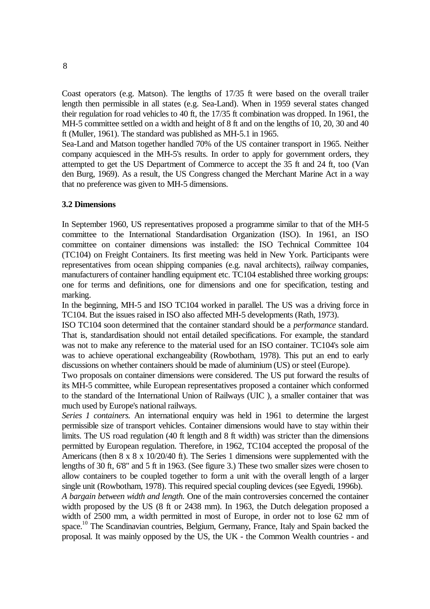Coast operators (e.g. Matson). The lengths of 17/35 ft were based on the overall trailer length then permissible in all states (e.g. Sea-Land). When in 1959 several states changed their regulation for road vehicles to 40 ft, the 17/35 ft combination was dropped. In 1961, the MH-5 committee settled on a width and height of 8 ft and on the lengths of 10, 20, 30 and 40 ft (Muller, 1961). The standard was published as MH-5.1 in 1965.

Sea-Land and Matson together handled 70% of the US container transport in 1965. Neither company acquiesced in the MH-5's results. In order to apply for government orders, they attempted to get the US Department of Commerce to accept the 35 ft and 24 ft, too (Van den Burg, 1969). As a result, the US Congress changed the Merchant Marine Act in a way that no preference was given to MH-5 dimensions.

## **3.2 Dimensions**

In September 1960, US representatives proposed a programme similar to that of the MH-5 committee to the International Standardisation Organization (ISO). In 1961, an ISO committee on container dimensions was installed: the ISO Technical Committee 104 (TC104) on Freight Containers. Its first meeting was held in New York. Participants were representatives from ocean shipping companies (e.g. naval architects), railway companies, manufacturers of container handling equipment etc. TC104 established three working groups: one for terms and definitions, one for dimensions and one for specification, testing and marking.

In the beginning, MH-5 and ISO TC104 worked in parallel. The US was a driving force in TC104. But the issues raised in ISO also affected MH-5 developments (Rath, 1973).

ISO TC104 soon determined that the container standard should be a *performance* standard. That is, standardisation should not entail detailed specifications. For example, the standard was not to make any reference to the material used for an ISO container. TC104's sole aim was to achieve operational exchangeability (Rowbotham, 1978). This put an end to early discussions on whether containers should be made of aluminium (US) or steel (Europe).

Two proposals on container dimensions were considered. The US put forward the results of its MH-5 committee, while European representatives proposed a container which conformed to the standard of the International Union of Railways (UIC ), a smaller container that was much used by Europe's national railways.

*Series 1 containers.* An international enquiry was held in 1961 to determine the largest permissible size of transport vehicles. Container dimensions would have to stay within their limits. The US road regulation (40 ft length and 8 ft width) was stricter than the dimensions permitted by European regulation. Therefore, in 1962, TC104 accepted the proposal of the Americans (then 8 x 8 x 10/20/40 ft). The Series 1 dimensions were supplemented with the lengths of 30 ft, 6'8" and 5 ft in 1963. (See figure 3.) These two smaller sizes were chosen to allow containers to be coupled together to form a unit with the overall length of a larger single unit (Rowbotham, 1978). This required special coupling devices (see Egyedi, 1996b).

*A bargain between width and length.* One of the main controversies concerned the container width proposed by the US (8 ft or 2438 mm). In 1963, the Dutch delegation proposed a width of 2500 mm, a width permitted in most of Europe, in order not to lose 62 mm of space.<sup>10</sup> The Scandinavian countries, Belgium, Germany, France, Italy and Spain backed the proposal. It was mainly opposed by the US, the UK - the Common Wealth countries - and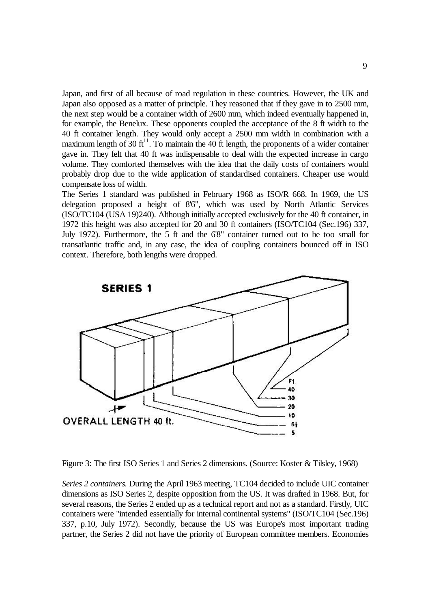Japan, and first of all because of road regulation in these countries. However, the UK and Japan also opposed as a matter of principle. They reasoned that if they gave in to 2500 mm, the next step would be a container width of 2600 mm, which indeed eventually happened in, for example, the Benelux. These opponents coupled the acceptance of the 8 ft width to the 40 ft container length. They would only accept a 2500 mm width in combination with a maximum length of 30  $ft<sup>11</sup>$ . To maintain the 40 ft length, the proponents of a wider container gave in. They felt that 40 ft was indispensable to deal with the expected increase in cargo volume. They comforted themselves with the idea that the daily costs of containers would probably drop due to the wide application of standardised containers. Cheaper use would compensate loss of width.

The Series 1 standard was published in February 1968 as ISO/R 668. In 1969, the US delegation proposed a height of 8'6", which was used by North Atlantic Services (ISO/TC104 (USA 19)240). Although initially accepted exclusively for the 40 ft container, in 1972 this height was also accepted for 20 and 30 ft containers (ISO/TC104 (Sec.196) 337, July 1972). Furthermore, the 5 ft and the 6'8" container turned out to be too small for transatlantic traffic and, in any case, the idea of coupling containers bounced off in ISO context. Therefore, both lengths were dropped.



Figure 3: The first ISO Series 1 and Series 2 dimensions. (Source: Koster & Tilsley, 1968)

*Series 2 containers.* During the April 1963 meeting, TC104 decided to include UIC container dimensions as ISO Series 2, despite opposition from the US. It was drafted in 1968. But, for several reasons, the Series 2 ended up as a technical report and not as a standard. Firstly, UIC containers were "intended essentially for internal continental systems" (ISO/TC104 (Sec.196) 337, p.10, July 1972). Secondly, because the US was Europe's most important trading partner, the Series 2 did not have the priority of European committee members. Economies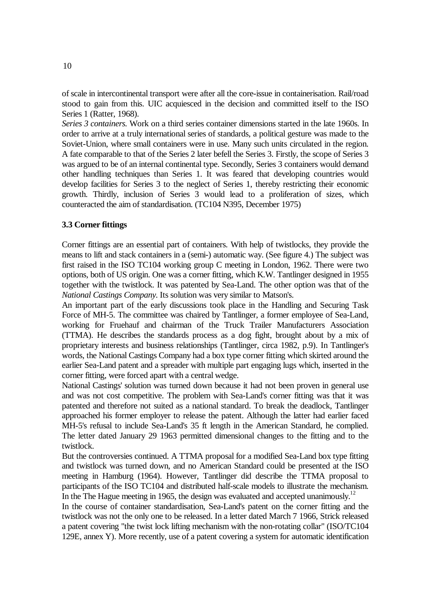of scale in intercontinental transport were after all the core-issue in containerisation. Rail/road stood to gain from this. UIC acquiesced in the decision and committed itself to the ISO Series 1 (Ratter, 1968).

*Series 3 containers.* Work on a third series container dimensions started in the late 1960s. In order to arrive at a truly international series of standards, a political gesture was made to the Soviet-Union, where small containers were in use. Many such units circulated in the region. A fate comparable to that of the Series 2 later befell the Series 3. Firstly, the scope of Series 3 was argued to be of an internal continental type. Secondly, Series 3 containers would demand other handling techniques than Series 1. It was feared that developing countries would develop facilities for Series 3 to the neglect of Series 1, thereby restricting their economic growth. Thirdly, inclusion of Series 3 would lead to a proliferation of sizes, which counteracted the aim of standardisation. (TC104 N395, December 1975)

#### **3.3 Corner fittings**

Corner fittings are an essential part of containers. With help of twistlocks, they provide the means to lift and stack containers in a (semi-) automatic way. (See figure 4.) The subject was first raised in the ISO TC104 working group C meeting in London, 1962. There were two options, both of US origin. One was a corner fitting, which K.W. Tantlinger designed in 1955 together with the twistlock. It was patented by Sea-Land. The other option was that of the *National Castings Company*. Its solution was very similar to Matson's.

An important part of the early discussions took place in the Handling and Securing Task Force of MH-5. The committee was chaired by Tantlinger, a former employee of Sea-Land, working for Fruehauf and chairman of the Truck Trailer Manufacturers Association (TTMA). He describes the standards process as a dog fight, brought about by a mix of proprietary interests and business relationships (Tantlinger, circa 1982, p.9). In Tantlinger's words, the National Castings Company had a box type corner fitting which skirted around the earlier Sea-Land patent and a spreader with multiple part engaging lugs which, inserted in the corner fitting, were forced apart with a central wedge.

National Castings' solution was turned down because it had not been proven in general use and was not cost competitive. The problem with Sea-Land's corner fitting was that it was patented and therefore not suited as a national standard. To break the deadlock, Tantlinger approached his former employer to release the patent. Although the latter had earlier faced MH-5's refusal to include Sea-Land's 35 ft length in the American Standard, he complied. The letter dated January 29 1963 permitted dimensional changes to the fitting and to the twistlock.

But the controversies continued. A TTMA proposal for a modified Sea-Land box type fitting and twistlock was turned down, and no American Standard could be presented at the ISO meeting in Hamburg (1964). However, Tantlinger did describe the TTMA proposal to participants of the ISO TC104 and distributed half-scale models to illustrate the mechanism. In the The Hague meeting in 1965, the design was evaluated and accepted unanimously.<sup>12</sup>

In the course of container standardisation, Sea-Land's patent on the corner fitting and the twistlock was not the only one to be released. In a letter dated March 7 1966, Strick released a patent covering "the twist lock lifting mechanism with the non-rotating collar" (ISO/TC104 129E, annex Y). More recently, use of a patent covering a system for automatic identification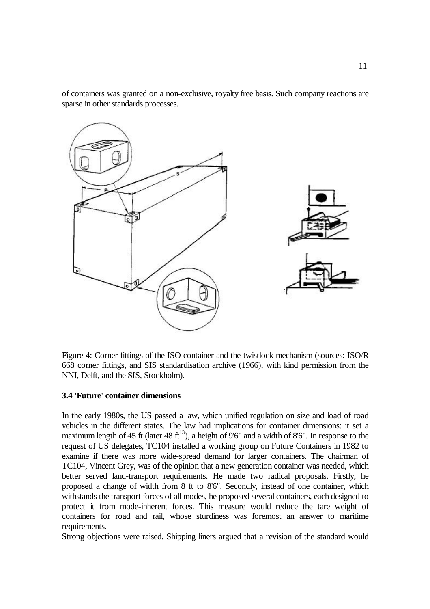of containers was granted on a non-exclusive, royalty free basis. Such company reactions are sparse in other standards processes.



Figure 4: Corner fittings of the ISO container and the twistlock mechanism (sources: ISO/R 668 corner fittings, and SIS standardisation archive (1966), with kind permission from the NNI, Delft, and the SIS, Stockholm).

#### **3.4 'Future' container dimensions**

In the early 1980s, the US passed a law, which unified regulation on size and load of road vehicles in the different states. The law had implications for container dimensions: it set a maximum length of 45 ft (later 48 ft<sup>13</sup>), a height of 9'6" and a width of 8'6". In response to the request of US delegates, TC104 installed a working group on Future Containers in 1982 to examine if there was more wide-spread demand for larger containers. The chairman of TC104, Vincent Grey, was of the opinion that a new generation container was needed, which better served land-transport requirements. He made two radical proposals. Firstly, he proposed a change of width from 8 ft to 8'6". Secondly, instead of one container, which withstands the transport forces of all modes, he proposed several containers, each designed to protect it from mode-inherent forces. This measure would reduce the tare weight of containers for road and rail, whose sturdiness was foremost an answer to maritime requirements.

Strong objections were raised. Shipping liners argued that a revision of the standard would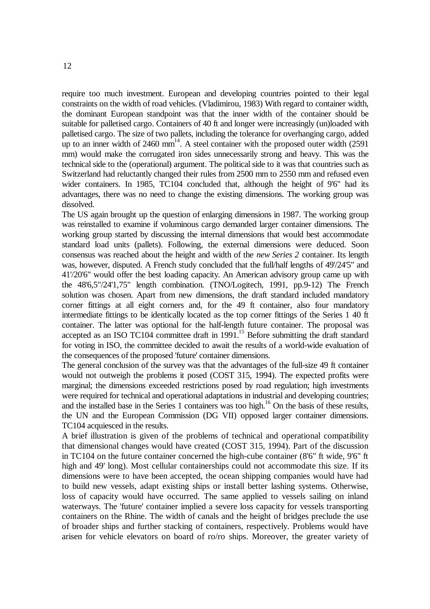require too much investment. European and developing countries pointed to their legal constraints on the width of road vehicles. (Vladimirou, 1983) With regard to container width, the dominant European standpoint was that the inner width of the container should be suitable for palletised cargo. Containers of 40 ft and longer were increasingly (un)loaded with palletised cargo. The size of two pallets, including the tolerance for overhanging cargo, added up to an inner width of  $2460 \text{ mm}^{14}$ . A steel container with the proposed outer width (2591) mm) would make the corrugated iron sides unnecessarily strong and heavy. This was the technical side to the (operational) argument. The political side to it was that countries such as Switzerland had reluctantly changed their rules from 2500 mm to 2550 mm and refused even wider containers. In 1985, TC104 concluded that, although the height of 9'6" had its advantages, there was no need to change the existing dimensions. The working group was dissolved.

The US again brought up the question of enlarging dimensions in 1987. The working group was reinstalled to examine if voluminous cargo demanded larger container dimensions. The working group started by discussing the internal dimensions that would best accommodate standard load units (pallets). Following, the external dimensions were deduced. Soon consensus was reached about the height and width of the *new Series 2* container. Its length was, however, disputed. A French study concluded that the full/half lengths of 49'/24'5" and 41'/20'6" would offer the best loading capacity. An American advisory group came up with the 48'6,5"/24'1,75" length combination. (TNO/Logitech, 1991, pp.9-12) The French solution was chosen. Apart from new dimensions, the draft standard included mandatory corner fittings at all eight corners and, for the 49 ft container, also four mandatory intermediate fittings to be identically located as the top corner fittings of the Series 1 40 ft container. The latter was optional for the half-length future container. The proposal was accepted as an ISO TC104 committee draft in  $1991$ .<sup>15</sup> Before submitting the draft standard for voting in ISO, the committee decided to await the results of a world-wide evaluation of the consequences of the proposed 'future' container dimensions.

The general conclusion of the survey was that the advantages of the full-size 49 ft container would not outweigh the problems it posed (COST 315, 1994). The expected profits were marginal; the dimensions exceeded restrictions posed by road regulation; high investments were required for technical and operational adaptations in industrial and developing countries; and the installed base in the Series 1 containers was too high.<sup>16</sup> On the basis of these results, the UN and the European Commission (DG VII) opposed larger container dimensions. TC104 acquiesced in the results.

A brief illustration is given of the problems of technical and operational compatibility that dimensional changes would have created (COST 315, 1994). Part of the discussion in TC104 on the future container concerned the high-cube container (8'6" ft wide, 9'6" ft high and 49' long). Most cellular containerships could not accommodate this size. If its dimensions were to have been accepted, the ocean shipping companies would have had to build new vessels, adapt existing ships or install better lashing systems. Otherwise, loss of capacity would have occurred. The same applied to vessels sailing on inland waterways. The 'future' container implied a severe loss capacity for vessels transporting containers on the Rhine. The width of canals and the height of bridges preclude the use of broader ships and further stacking of containers, respectively. Problems would have arisen for vehicle elevators on board of ro/ro ships. Moreover, the greater variety of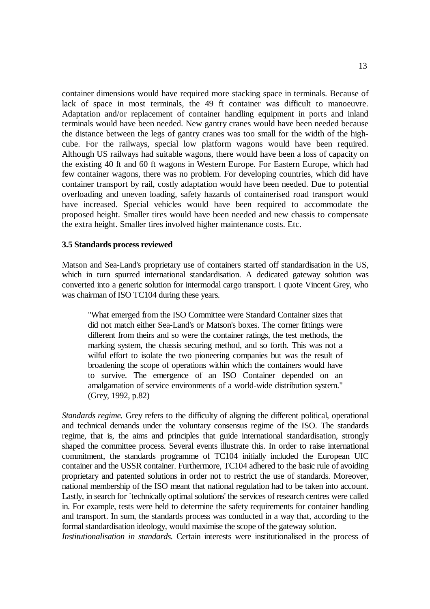container dimensions would have required more stacking space in terminals. Because of lack of space in most terminals, the 49 ft container was difficult to manoeuvre. Adaptation and/or replacement of container handling equipment in ports and inland terminals would have been needed. New gantry cranes would have been needed because the distance between the legs of gantry cranes was too small for the width of the highcube. For the railways, special low platform wagons would have been required. Although US railways had suitable wagons, there would have been a loss of capacity on the existing 40 ft and 60 ft wagons in Western Europe. For Eastern Europe, which had few container wagons, there was no problem. For developing countries, which did have container transport by rail, costly adaptation would have been needed. Due to potential overloading and uneven loading, safety hazards of containerised road transport would have increased. Special vehicles would have been required to accommodate the proposed height. Smaller tires would have been needed and new chassis to compensate the extra height. Smaller tires involved higher maintenance costs. Etc.

#### **3.5 Standards process reviewed**

Matson and Sea-Land's proprietary use of containers started off standardisation in the US, which in turn spurred international standardisation. A dedicated gateway solution was converted into a generic solution for intermodal cargo transport. I quote Vincent Grey, who was chairman of ISO TC104 during these years.

"What emerged from the ISO Committee were Standard Container sizes that did not match either Sea-Land's or Matson's boxes. The corner fittings were different from theirs and so were the container ratings, the test methods, the marking system, the chassis securing method, and so forth. This was not a wilful effort to isolate the two pioneering companies but was the result of broadening the scope of operations within which the containers would have to survive. The emergence of an ISO Container depended on an amalgamation of service environments of a world-wide distribution system." (Grey, 1992, p.82)

*Standards regime.* Grey refers to the difficulty of aligning the different political, operational and technical demands under the voluntary consensus regime of the ISO. The standards regime, that is, the aims and principles that guide international standardisation, strongly shaped the committee process. Several events illustrate this. In order to raise international commitment, the standards programme of TC104 initially included the European UIC container and the USSR container. Furthermore, TC104 adhered to the basic rule of avoiding proprietary and patented solutions in order not to restrict the use of standards. Moreover, national membership of the ISO meant that national regulation had to be taken into account. Lastly, in search for `technically optimal solutions' the services of research centres were called in. For example, tests were held to determine the safety requirements for container handling and transport. In sum, the standards process was conducted in a way that, according to the formal standardisation ideology, would maximise the scope of the gateway solution.

*Institutionalisation in standards*. Certain interests were institutionalised in the process of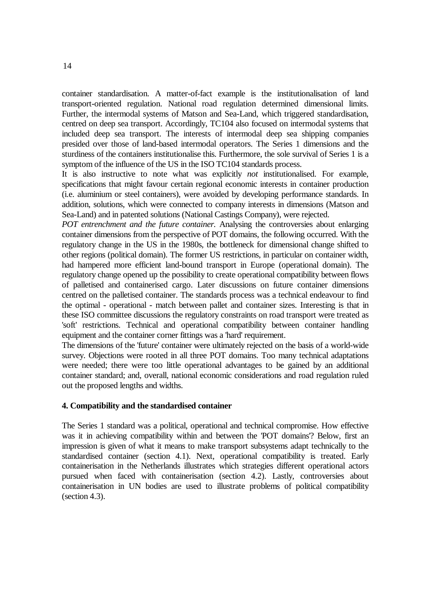container standardisation. A matter-of-fact example is the institutionalisation of land transport-oriented regulation. National road regulation determined dimensional limits. Further, the intermodal systems of Matson and Sea-Land, which triggered standardisation, centred on deep sea transport. Accordingly, TC104 also focused on intermodal systems that included deep sea transport. The interests of intermodal deep sea shipping companies presided over those of land-based intermodal operators. The Series 1 dimensions and the sturdiness of the containers institutionalise this. Furthermore, the sole survival of Series 1 is a symptom of the influence of the US in the ISO TC104 standards process.

It is also instructive to note what was explicitly *not* institutionalised. For example, specifications that might favour certain regional economic interests in container production (i.e. aluminium or steel containers), were avoided by developing performance standards. In addition, solutions, which were connected to company interests in dimensions (Matson and Sea-Land) and in patented solutions (National Castings Company), were rejected.

*POT entrenchment and the future container.* Analysing the controversies about enlarging container dimensions from the perspective of POT domains, the following occurred. With the regulatory change in the US in the 1980s, the bottleneck for dimensional change shifted to other regions (political domain). The former US restrictions, in particular on container width, had hampered more efficient land-bound transport in Europe (operational domain). The regulatory change opened up the possibility to create operational compatibility between flows of palletised and containerised cargo. Later discussions on future container dimensions centred on the palletised container. The standards process was a technical endeavour to find the optimal - operational - match between pallet and container sizes. Interesting is that in these ISO committee discussions the regulatory constraints on road transport were treated as 'soft' restrictions. Technical and operational compatibility between container handling equipment and the container corner fittings was a 'hard' requirement.

The dimensions of the 'future' container were ultimately rejected on the basis of a world-wide survey. Objections were rooted in all three POT domains. Too many technical adaptations were needed; there were too little operational advantages to be gained by an additional container standard; and, overall, national economic considerations and road regulation ruled out the proposed lengths and widths.

#### **4. Compatibility and the standardised container**

The Series 1 standard was a political, operational and technical compromise. How effective was it in achieving compatibility within and between the 'POT domains'? Below, first an impression is given of what it means to make transport subsystems adapt technically to the standardised container (section 4.1). Next, operational compatibility is treated. Early containerisation in the Netherlands illustrates which strategies different operational actors pursued when faced with containerisation (section 4.2). Lastly, controversies about containerisation in UN bodies are used to illustrate problems of political compatibility (section 4.3).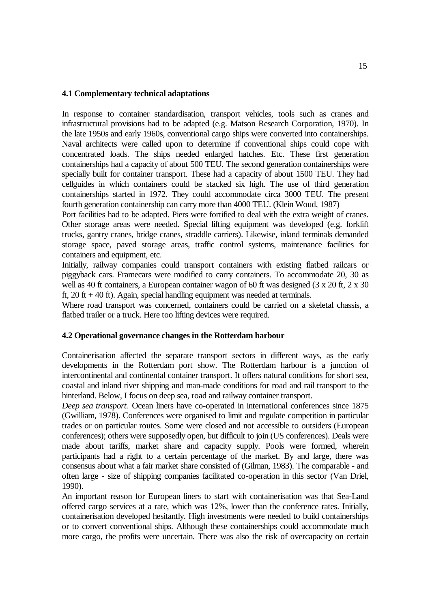### **4.1 Complementary technical adaptations**

In response to container standardisation, transport vehicles, tools such as cranes and infrastructural provisions had to be adapted (e.g. Matson Research Corporation, 1970). In the late 1950s and early 1960s, conventional cargo ships were converted into containerships. Naval architects were called upon to determine if conventional ships could cope with concentrated loads. The ships needed enlarged hatches. Etc. These first generation containerships had a capacity of about 500 TEU. The second generation containerships were specially built for container transport. These had a capacity of about 1500 TEU. They had cellguides in which containers could be stacked six high. The use of third generation containerships started in 1972. They could accommodate circa 3000 TEU. The present fourth generation containership can carry more than 4000 TEU. (Klein Woud, 1987)

Port facilities had to be adapted. Piers were fortified to deal with the extra weight of cranes. Other storage areas were needed. Special lifting equipment was developed (e.g. forklift trucks, gantry cranes, bridge cranes, straddle carriers). Likewise, inland terminals demanded storage space, paved storage areas, traffic control systems, maintenance facilities for containers and equipment, etc.

Initially, railway companies could transport containers with existing flatbed railcars or piggyback cars. Framecars were modified to carry containers. To accommodate 20, 30 as well as 40 ft containers, a European container wagon of 60 ft was designed (3 x 20 ft, 2 x 30 ft,  $20$  ft  $+ 40$  ft). Again, special handling equipment was needed at terminals.

Where road transport was concerned, containers could be carried on a skeletal chassis, a flatbed trailer or a truck. Here too lifting devices were required.

## **4.2 Operational governance changes in the Rotterdam harbour**

Containerisation affected the separate transport sectors in different ways, as the early developments in the Rotterdam port show. The Rotterdam harbour is a junction of intercontinental and continental container transport. It offers natural conditions for short sea, coastal and inland river shipping and man-made conditions for road and rail transport to the hinterland. Below, I focus on deep sea, road and railway container transport.

*Deep sea transport.* Ocean liners have co-operated in international conferences since 1875 (Gwilliam, 1978). Conferences were organised to limit and regulate competition in particular trades or on particular routes. Some were closed and not accessible to outsiders (European conferences); others were supposedly open, but difficult to join (US conferences). Deals were made about tariffs, market share and capacity supply. Pools were formed, wherein participants had a right to a certain percentage of the market. By and large, there was consensus about what a fair market share consisted of (Gilman, 1983). The comparable - and often large - size of shipping companies facilitated co-operation in this sector (Van Driel, 1990).

An important reason for European liners to start with containerisation was that Sea-Land offered cargo services at a rate, which was 12%, lower than the conference rates. Initially, containerisation developed hesitantly. High investments were needed to build containerships or to convert conventional ships. Although these containerships could accommodate much more cargo, the profits were uncertain. There was also the risk of overcapacity on certain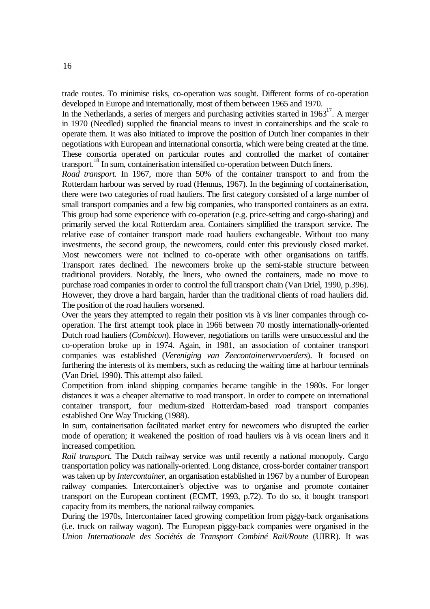trade routes. To minimise risks, co-operation was sought. Different forms of co-operation developed in Europe and internationally, most of them between 1965 and 1970.

In the Netherlands, a series of mergers and purchasing activities started in  $1963<sup>17</sup>$ . A merger in 1970 (Needled) supplied the financial means to invest in containerships and the scale to operate them. It was also initiated to improve the position of Dutch liner companies in their negotiations with European and international consortia, which were being created at the time. These consortia operated on particular routes and controlled the market of container transport.<sup>18</sup> In sum, containerisation intensified co-operation between Dutch liners.

*Road transport*. In 1967, more than 50% of the container transport to and from the Rotterdam harbour was served by road (Hennus, 1967). In the beginning of containerisation, there were two categories of road hauliers. The first category consisted of a large number of small transport companies and a few big companies, who transported containers as an extra. This group had some experience with co-operation (e.g. price-setting and cargo-sharing) and primarily served the local Rotterdam area. Containers simplified the transport service. The relative ease of container transport made road hauliers exchangeable. Without too many investments, the second group, the newcomers, could enter this previously closed market. Most newcomers were not inclined to co-operate with other organisations on tariffs. Transport rates declined. The newcomers broke up the semi-stable structure between traditional providers. Notably, the liners, who owned the containers, made no move to purchase road companies in order to control the full transport chain (Van Driel, 1990, p.396). However, they drove a hard bargain, harder than the traditional clients of road hauliers did. The position of the road hauliers worsened.

Over the years they attempted to regain their position vis à vis liner companies through cooperation. The first attempt took place in 1966 between 70 mostly internationally-oriented Dutch road hauliers (*Combicon*). However, negotiations on tariffs were unsuccessful and the co-operation broke up in 1974. Again, in 1981, an association of container transport companies was established (*Vereniging van Zeecontainervervoerders*). It focused on furthering the interests of its members, such as reducing the waiting time at harbour terminals (Van Driel, 1990). This attempt also failed.

Competition from inland shipping companies became tangible in the 1980s. For longer distances it was a cheaper alternative to road transport. In order to compete on international container transport, four medium-sized Rotterdam-based road transport companies established One Way Trucking (1988).

In sum, containerisation facilitated market entry for newcomers who disrupted the earlier mode of operation; it weakened the position of road hauliers vis à vis ocean liners and it increased competition.

*Rail transport.* The Dutch railway service was until recently a national monopoly. Cargo transportation policy was nationally-oriented. Long distance, cross-border container transport was taken up by *Intercontainer*, an organisation established in 1967 by a number of European railway companies. Intercontainer's objective was to organise and promote container transport on the European continent (ECMT, 1993, p.72). To do so, it bought transport capacity from its members, the national railway companies.

During the 1970s, Intercontainer faced growing competition from piggy-back organisations (i.e. truck on railway wagon). The European piggy-back companies were organised in the *Union Internationale des Sociétés de Transport Combiné Rail/Route* (UIRR). It was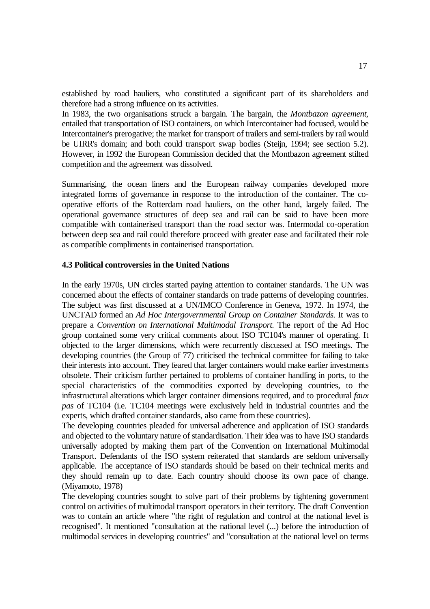established by road hauliers, who constituted a significant part of its shareholders and therefore had a strong influence on its activities.

In 1983, the two organisations struck a bargain. The bargain, the *Montbazon agreement*, entailed that transportation of ISO containers, on which Intercontainer had focused, would be Intercontainer's prerogative; the market for transport of trailers and semi-trailers by rail would be UIRR's domain; and both could transport swap bodies (Steijn, 1994; see section 5.2). However, in 1992 the European Commission decided that the Montbazon agreement stilted competition and the agreement was dissolved.

Summarising, the ocean liners and the European railway companies developed more integrated forms of governance in response to the introduction of the container. The cooperative efforts of the Rotterdam road hauliers, on the other hand, largely failed. The operational governance structures of deep sea and rail can be said to have been more compatible with containerised transport than the road sector was. Intermodal co-operation between deep sea and rail could therefore proceed with greater ease and facilitated their role as compatible compliments in containerised transportation.

## **4.3 Political controversies in the United Nations**

In the early 1970s, UN circles started paying attention to container standards. The UN was concerned about the effects of container standards on trade patterns of developing countries. The subject was first discussed at a UN/IMCO Conference in Geneva, 1972. In 1974, the UNCTAD formed an *Ad Hoc Intergovernmental Group on Container Standards*. It was to prepare a *Convention on International Multimodal Transport*. The report of the Ad Hoc group contained some very critical comments about ISO TC104's manner of operating. It objected to the larger dimensions, which were recurrently discussed at ISO meetings. The developing countries (the Group of 77) criticised the technical committee for failing to take their interests into account. They feared that larger containers would make earlier investments obsolete. Their criticism further pertained to problems of container handling in ports, to the special characteristics of the commodities exported by developing countries, to the infrastructural alterations which larger container dimensions required, and to procedural *faux pas* of TC104 (i.e. TC104 meetings were exclusively held in industrial countries and the experts, which drafted container standards, also came from these countries).

The developing countries pleaded for universal adherence and application of ISO standards and objected to the voluntary nature of standardisation. Their idea was to have ISO standards universally adopted by making them part of the Convention on International Multimodal Transport. Defendants of the ISO system reiterated that standards are seldom universally applicable. The acceptance of ISO standards should be based on their technical merits and they should remain up to date. Each country should choose its own pace of change. (Miyamoto, 1978)

The developing countries sought to solve part of their problems by tightening government control on activities of multimodal transport operators in their territory. The draft Convention was to contain an article where "the right of regulation and control at the national level is recognised". It mentioned "consultation at the national level (...) before the introduction of multimodal services in developing countries" and "consultation at the national level on terms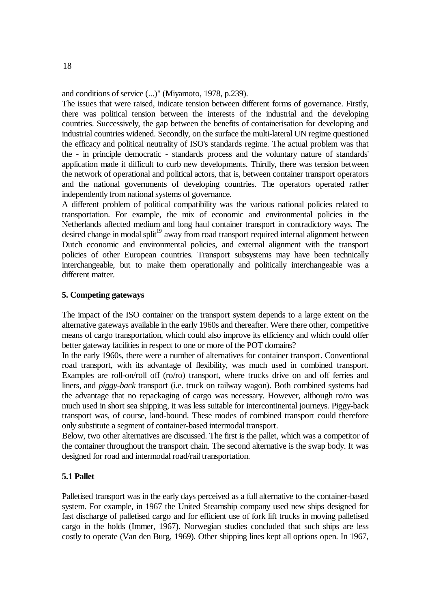and conditions of service (...)" (Miyamoto, 1978, p.239).

The issues that were raised, indicate tension between different forms of governance. Firstly, there was political tension between the interests of the industrial and the developing countries. Successively, the gap between the benefits of containerisation for developing and industrial countries widened. Secondly, on the surface the multi-lateral UN regime questioned the efficacy and political neutrality of ISO's standards regime. The actual problem was that the - in principle democratic - standards process and the voluntary nature of standards' application made it difficult to curb new developments. Thirdly, there was tension between the network of operational and political actors, that is, between container transport operators and the national governments of developing countries. The operators operated rather independently from national systems of governance.

A different problem of political compatibility was the various national policies related to transportation. For example, the mix of economic and environmental policies in the Netherlands affected medium and long haul container transport in contradictory ways. The desired change in modal split<sup>19</sup> away from road transport required internal alignment between Dutch economic and environmental policies, and external alignment with the transport policies of other European countries. Transport subsystems may have been technically interchangeable, but to make them operationally and politically interchangeable was a different matter.

## **5. Competing gateways**

The impact of the ISO container on the transport system depends to a large extent on the alternative gateways available in the early 1960s and thereafter. Were there other, competitive means of cargo transportation, which could also improve its efficiency and which could offer better gateway facilities in respect to one or more of the POT domains?

In the early 1960s, there were a number of alternatives for container transport. Conventional road transport, with its advantage of flexibility, was much used in combined transport. Examples are roll-on/roll off (ro/ro) transport, where trucks drive on and off ferries and liners, and *piggy-back* transport (i.e. truck on railway wagon). Both combined systems had the advantage that no repackaging of cargo was necessary. However, although ro/ro was much used in short sea shipping, it was less suitable for intercontinental journeys. Piggy-back transport was, of course, land-bound. These modes of combined transport could therefore only substitute a segment of container-based intermodal transport.

Below, two other alternatives are discussed. The first is the pallet, which was a competitor of the container throughout the transport chain. The second alternative is the swap body. It was designed for road and intermodal road/rail transportation.

## **5.1 Pallet**

Palletised transport was in the early days perceived as a full alternative to the container-based system. For example, in 1967 the United Steamship company used new ships designed for fast discharge of palletised cargo and for efficient use of fork lift trucks in moving palletised cargo in the holds (Immer, 1967). Norwegian studies concluded that such ships are less costly to operate (Van den Burg, 1969). Other shipping lines kept all options open. In 1967,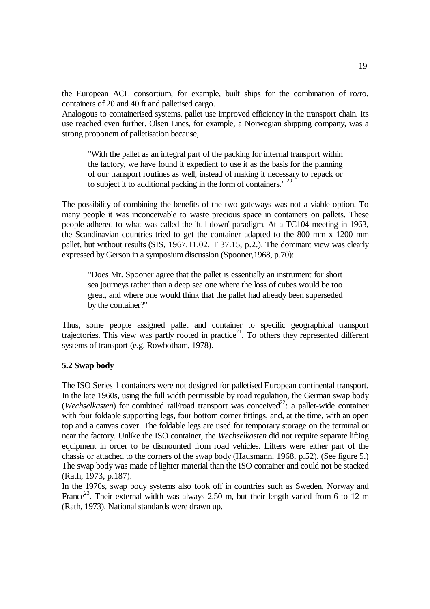the European ACL consortium, for example, built ships for the combination of ro/ro, containers of 20 and 40 ft and palletised cargo.

Analogous to containerised systems, pallet use improved efficiency in the transport chain. Its use reached even further. Olsen Lines, for example, a Norwegian shipping company, was a strong proponent of palletisation because,

"With the pallet as an integral part of the packing for internal transport within the factory, we have found it expedient to use it as the basis for the planning of our transport routines as well, instead of making it necessary to repack or to subject it to additional packing in the form of containers." <sup>20</sup>

The possibility of combining the benefits of the two gateways was not a viable option. To many people it was inconceivable to waste precious space in containers on pallets. These people adhered to what was called the 'full-down' paradigm. At a TC104 meeting in 1963, the Scandinavian countries tried to get the container adapted to the 800 mm x 1200 mm pallet, but without results (SIS, 1967.11.02, T 37.15, p.2.). The dominant view was clearly expressed by Gerson in a symposium discussion (Spooner,1968, p.70):

"Does Mr. Spooner agree that the pallet is essentially an instrument for short sea journeys rather than a deep sea one where the loss of cubes would be too great, and where one would think that the pallet had already been superseded by the container?"

Thus, some people assigned pallet and container to specific geographical transport trajectories. This view was partly rooted in practice<sup>21</sup>. To others they represented different systems of transport (e.g. Rowbotham, 1978).

#### **5.2 Swap body**

The ISO Series 1 containers were not designed for palletised European continental transport. In the late 1960s, using the full width permissible by road regulation, the German swap body (*Wechselkasten*) for combined rail/road transport was conceived<sup>22</sup>: a pallet-wide container with four foldable supporting legs, four bottom corner fittings, and, at the time, with an open top and a canvas cover. The foldable legs are used for temporary storage on the terminal or near the factory. Unlike the ISO container, the *Wechselkasten* did not require separate lifting equipment in order to be dismounted from road vehicles. Lifters were either part of the chassis or attached to the corners of the swap body (Hausmann, 1968, p.52). (See figure 5.) The swap body was made of lighter material than the ISO container and could not be stacked (Rath, 1973, p.187).

In the 1970s, swap body systems also took off in countries such as Sweden, Norway and France<sup>23</sup>. Their external width was always 2.50 m, but their length varied from 6 to 12 m (Rath, 1973). National standards were drawn up.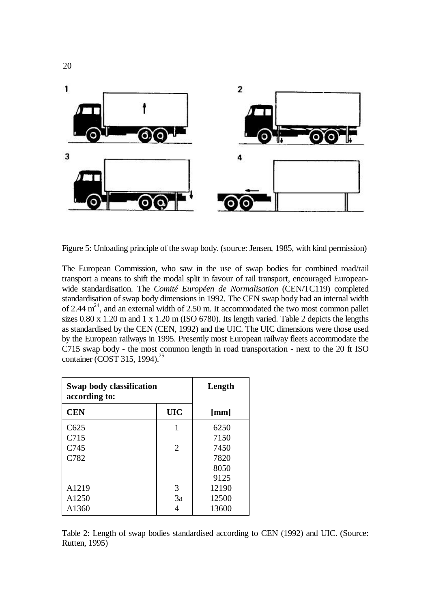

Figure 5: Unloading principle of the swap body. (source: Jensen, 1985, with kind permission)

The European Commission, who saw in the use of swap bodies for combined road/rail transport a means to shift the modal split in favour of rail transport, encouraged Europeanwide standardisation. The *Comité Européen de Normalisation* (CEN/TC119) completed standardisation of swap body dimensions in 1992. The CEN swap body had an internal width of 2.44  $m<sup>24</sup>$ , and an external width of 2.50 m. It accommodated the two most common pallet sizes 0.80 x 1.20 m and 1 x 1.20 m (ISO 6780). Its length varied. Table 2 depicts the lengths as standardised by the CEN (CEN, 1992) and the UIC. The UIC dimensions were those used by the European railways in 1995. Presently most European railway fleets accommodate the C715 swap body - the most common length in road transportation - next to the 20 ft ISO container (COST 315, 1994).<sup>25</sup>

| Swap body classification<br>according to: |                             | Length |
|-------------------------------------------|-----------------------------|--------|
| <b>CEN</b>                                | <b>UIC</b>                  | [mm]   |
| C625                                      | 1                           | 6250   |
| C715                                      |                             | 7150   |
| C745                                      | $\mathcal{D}_{\mathcal{L}}$ | 7450   |
| C782                                      |                             | 7820   |
|                                           |                             | 8050   |
|                                           |                             | 9125   |
| A1219                                     | 3                           | 12190  |
| A <sub>1250</sub>                         | 3a                          | 12500  |
| A1360                                     |                             | 13600  |

Table 2: Length of swap bodies standardised according to CEN (1992) and UIC. (Source: Rutten, 1995)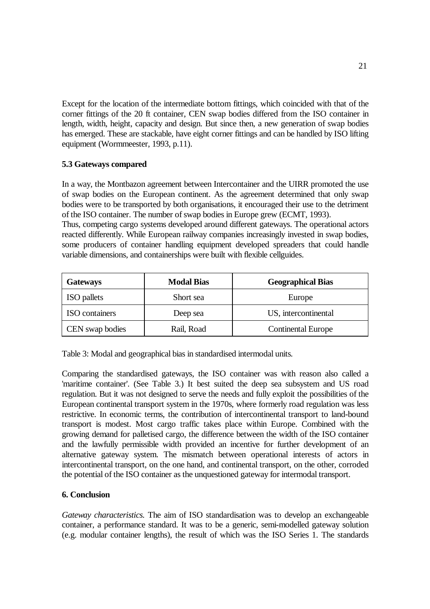Except for the location of the intermediate bottom fittings, which coincided with that of the corner fittings of the 20 ft container, CEN swap bodies differed from the ISO container in length, width, height, capacity and design. But since then, a new generation of swap bodies has emerged. These are stackable, have eight corner fittings and can be handled by ISO lifting equipment (Wormmeester, 1993, p.11).

## **5.3 Gateways compared**

In a way, the Montbazon agreement between Intercontainer and the UIRR promoted the use of swap bodies on the European continent. As the agreement determined that only swap bodies were to be transported by both organisations, it encouraged their use to the detriment of the ISO container. The number of swap bodies in Europe grew (ECMT, 1993).

Thus, competing cargo systems developed around different gateways. The operational actors reacted differently. While European railway companies increasingly invested in swap bodies, some producers of container handling equipment developed spreaders that could handle variable dimensions, and containerships were built with flexible cellguides.

| <b>Gateways</b>       | <b>Modal Bias</b> | <b>Geographical Bias</b>  |  |
|-----------------------|-------------------|---------------------------|--|
| ISO pallets           | Short sea         | Europe                    |  |
| <b>ISO</b> containers | Deep sea          | US, intercontinental      |  |
| CEN swap bodies       | Rail, Road        | <b>Continental Europe</b> |  |

Table 3: Modal and geographical bias in standardised intermodal units.

Comparing the standardised gateways, the ISO container was with reason also called a 'maritime container'. (See Table 3.) It best suited the deep sea subsystem and US road regulation. But it was not designed to serve the needs and fully exploit the possibilities of the European continental transport system in the 1970s, where formerly road regulation was less restrictive. In economic terms, the contribution of intercontinental transport to land-bound transport is modest. Most cargo traffic takes place within Europe. Combined with the growing demand for palletised cargo, the difference between the width of the ISO container and the lawfully permissible width provided an incentive for further development of an alternative gateway system. The mismatch between operational interests of actors in intercontinental transport, on the one hand, and continental transport, on the other, corroded the potential of the ISO container as the unquestioned gateway for intermodal transport.

# **6. Conclusion**

*Gateway characteristics.* The aim of ISO standardisation was to develop an exchangeable container, a performance standard. It was to be a generic, semi-modelled gateway solution (e.g. modular container lengths), the result of which was the ISO Series 1. The standards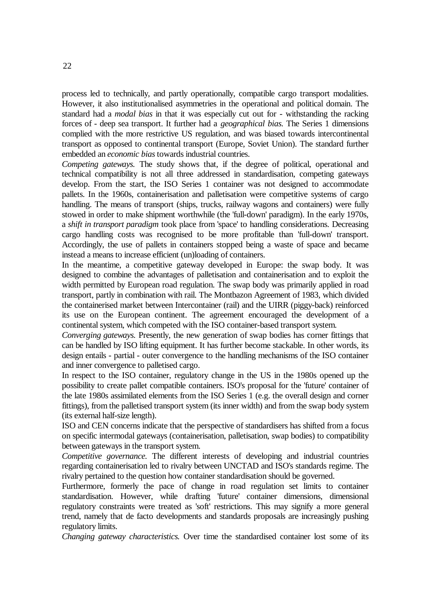process led to technically, and partly operationally, compatible cargo transport modalities. However, it also institutionalised asymmetries in the operational and political domain. The standard had a *modal bias* in that it was especially cut out for - withstanding the racking forces of - deep sea transport. It further had a *geographical bias*. The Series 1 dimensions complied with the more restrictive US regulation, and was biased towards intercontinental transport as opposed to continental transport (Europe, Soviet Union). The standard further embedded an *economic bias* towards industrial countries.

*Competing gateways.* The study shows that, if the degree of political, operational and technical compatibility is not all three addressed in standardisation, competing gateways develop. From the start, the ISO Series 1 container was not designed to accommodate pallets. In the 1960s, containerisation and palletisation were competitive systems of cargo handling. The means of transport (ships, trucks, railway wagons and containers) were fully stowed in order to make shipment worthwhile (the 'full-down' paradigm). In the early 1970s, a *shift in transport paradigm* took place from 'space' to handling considerations. Decreasing cargo handling costs was recognised to be more profitable than 'full-down' transport. Accordingly, the use of pallets in containers stopped being a waste of space and became instead a means to increase efficient (un)loading of containers.

In the meantime, a competitive gateway developed in Europe: the swap body. It was designed to combine the advantages of palletisation and containerisation and to exploit the width permitted by European road regulation. The swap body was primarily applied in road transport, partly in combination with rail. The Montbazon Agreement of 1983, which divided the containerised market between Intercontainer (rail) and the UIRR (piggy-back) reinforced its use on the European continent. The agreement encouraged the development of a continental system, which competed with the ISO container-based transport system.

*Converging gateways.* Presently, the new generation of swap bodies has corner fittings that can be handled by ISO lifting equipment. It has further become stackable. In other words, its design entails - partial - outer convergence to the handling mechanisms of the ISO container and inner convergence to palletised cargo.

In respect to the ISO container, regulatory change in the US in the 1980s opened up the possibility to create pallet compatible containers. ISO's proposal for the 'future' container of the late 1980s assimilated elements from the ISO Series 1 (e.g. the overall design and corner fittings), from the palletised transport system (its inner width) and from the swap body system (its external half-size length).

ISO and CEN concerns indicate that the perspective of standardisers has shifted from a focus on specific intermodal gateways (containerisation, palletisation, swap bodies) to compatibility between gateways in the transport system.

*Competitive governance.* The different interests of developing and industrial countries regarding containerisation led to rivalry between UNCTAD and ISO's standards regime. The rivalry pertained to the question how container standardisation should be governed.

Furthermore, formerly the pace of change in road regulation set limits to container standardisation. However, while drafting 'future' container dimensions, dimensional regulatory constraints were treated as 'soft' restrictions. This may signify a more general trend, namely that de facto developments and standards proposals are increasingly pushing regulatory limits.

*Changing gateway characteristics.* Over time the standardised container lost some of its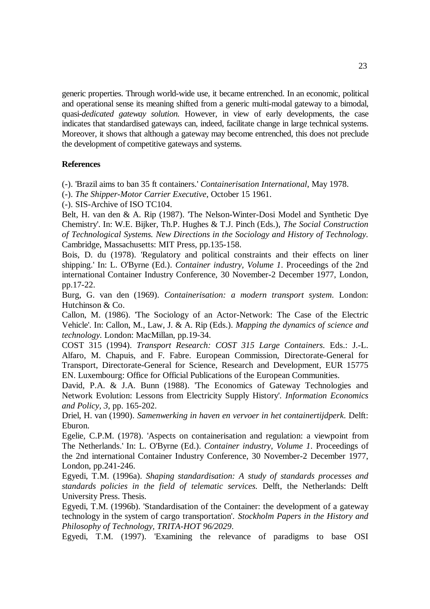generic properties. Through world-wide use, it became entrenched. In an economic, political and operational sense its meaning shifted from a generic multi-modal gateway to a bimodal, quasi-*dedicated gateway solution.* However, in view of early developments, the case indicates that standardised gateways can, indeed, facilitate change in large technical systems. Moreover, it shows that although a gateway may become entrenched, this does not preclude the development of competitive gateways and systems.

## **References**

(-). 'Brazil aims to ban 35 ft containers.' *Containerisation International*, May 1978.

(-). *The Shipper-Motor Carrier Executive*, October 15 1961.

(-). SIS-Archive of ISO TC104.

Belt, H. van den & A. Rip (1987). 'The Nelson-Winter-Dosi Model and Synthetic Dye Chemistry'. In: W.E. Bijker, Th.P. Hughes & T.J. Pinch (Eds.), *The Social Construction of Technological Systems. New Directions in the Sociology and History of Technology.* Cambridge, Massachusetts: MIT Press, pp.135-158.

Bois, D. du (1978). 'Regulatory and political constraints and their effects on liner shipping.' In: L. O'Byrne (Ed.). *Container industry, Volume 1*. Proceedings of the 2nd international Container Industry Conference, 30 November-2 December 1977, London, pp.17-22.

Burg, G. van den (1969). *Containerisation: a modern transport system*. London: Hutchinson & Co.

Callon, M. (1986). 'The Sociology of an Actor-Network: The Case of the Electric Vehicle'. In: Callon, M., Law, J. & A. Rip (Eds.). *Mapping the dynamics of science and technology.* London: MacMillan, pp.19-34.

COST 315 (1994). *Transport Research: COST 315 Large Containers*. Eds.: J.-L. Alfaro, M. Chapuis, and F. Fabre. European Commission, Directorate-General for Transport, Directorate-General for Science, Research and Development, EUR 15775 EN. Luxembourg: Office for Official Publications of the European Communities.

David, P.A. & J.A. Bunn (1988). 'The Economics of Gateway Technologies and Network Evolution: Lessons from Electricity Supply History'. *Information Economics and Policy, 3*, pp. 165-202.

Driel, H. van (1990). *Samenwerking in haven en vervoer in het containertijdperk*. Delft: Eburon.

Egelie, C.P.M. (1978). 'Aspects on containerisation and regulation: a viewpoint from The Netherlands.' In: L. O'Byrne (Ed.). *Container industry, Volume 1*. Proceedings of the 2nd international Container Industry Conference, 30 November-2 December 1977, London, pp.241-246.

Egyedi, T.M. (1996a). *Shaping standardisation: A study of standards processes and standards policies in the field of telematic services.* Delft, the Netherlands: Delft University Press. Thesis.

Egyedi, T.M. (1996b). 'Standardisation of the Container: the development of a gateway technology in the system of cargo transportation'. *Stockholm Papers in the History and Philosophy of Technology, TRITA-HOT 96/2029*.

Egyedi, T.M. (1997). 'Examining the relevance of paradigms to base OSI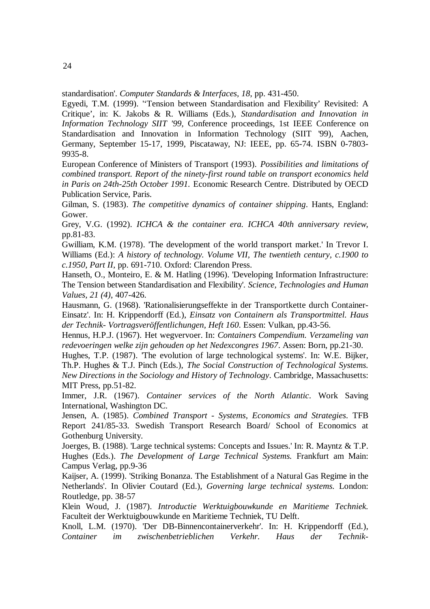standardisation'. *Computer Standards & Interfaces, 18*, pp. 431-450.

Egyedi, T.M. (1999). ''Tension between Standardisation and Flexibility' Revisited: A Critique', in: K. Jakobs & R. Williams (Eds.), *Standardisation and Innovation in Information Technology SIIT '99*, Conference proceedings, 1st IEEE Conference on Standardisation and Innovation in Information Technology (SIIT '99), Aachen, Germany, September 15-17, 1999, Piscataway, NJ: IEEE, pp. 65-74. ISBN 0-7803- 9935-8.

European Conference of Ministers of Transport (1993). *Possibilities and limitations of combined transport. Report of the ninety-first round table on transport economics held in Paris on 24th-25th October 1991.* Economic Research Centre. Distributed by OECD Publication Service, Paris.

Gilman, S. (1983). *The competitive dynamics of container shipping*. Hants, England: Gower.

Grey, V.G. (1992). *ICHCA & the container era. ICHCA 40th anniversary review*, pp.81-83.

Gwilliam, K.M. (1978). 'The development of the world transport market.' In Trevor I. Williams (Ed.): *A history of technology. Volume VII, The twentieth century, c.1900 to c.1950, Part II,* pp. 691-710. Oxford: Clarendon Press.

Hanseth, O., Monteiro, E. & M. Hatling (1996). 'Developing Information Infrastructure: The Tension between Standardisation and Flexibility'*. Science, Technologies and Human Values, 21 (4)*, 407-426.

Hausmann, G. (1968). 'Rationalisierungseffekte in der Transportkette durch Container-Einsatz'. In: H. Krippendorff (Ed.), *Einsatz von Containern als Transportmittel. Haus der Technik- Vortragsveröffentlichungen, Heft 160*. Essen: Vulkan, pp.43-56.

Hennus, H.P.J. (1967). Het wegvervoer. In: *Containers Compendium. Verzameling van redevoeringen welke zijn gehouden op het Nedexcongres 1967*. Assen: Born, pp.21-30.

Hughes, T.P. (1987). 'The evolution of large technological systems'. In: W.E. Bijker, Th.P. Hughes & T.J. Pinch (Eds.), *The Social Construction of Technological Systems. New Directions in the Sociology and History of Technology*. Cambridge, Massachusetts: MIT Press, pp.51-82.

Immer, J.R. (1967). *Container services of the North Atlantic*. Work Saving International, Washington DC.

Jensen, A. (1985). *Combined Transport - Systems, Economics and Strategies*. TFB Report 241/85-33. Swedish Transport Research Board/ School of Economics at Gothenburg University.

Joerges, B. (1988). 'Large technical systems: Concepts and Issues.' In: R. Mayntz & T.P. Hughes (Eds.). *The Development of Large Technical Systems.* Frankfurt am Main: Campus Verlag, pp.9-36

Kaijser, A. (1999). 'Striking Bonanza. The Establishment of a Natural Gas Regime in the Netherlands'. In Olivier Coutard (Ed.), *Governing large technical systems.* London: Routledge, pp. 38-57

Klein Woud, J. (1987). *Introductie Werktuigbouwkunde en Maritieme Techniek.* Faculteit der Werktuigbouwkunde en Maritieme Techniek, TU Delft.

Knoll, L.M. (1970). 'Der DB-Binnencontainerverkehr'. In: H. Krippendorff (Ed.), *Container im zwischenbetrieblichen Verkehr. Haus der Technik-*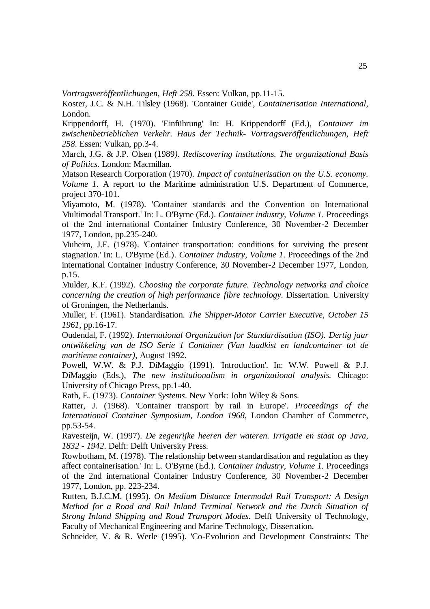*Vortragsveröffentlichungen, Heft 258*. Essen: Vulkan, pp.11-15.

Koster, J.C. & N.H. Tilsley (1968). 'Container Guide', *Containerisation International,* London.

Krippendorff, H. (1970). 'Einführung' In: H. Krippendorff (Ed.), *Container im zwischenbetrieblichen Verkehr. Haus der Technik- Vortragsveröffentlichungen, Heft 258*. Essen: Vulkan, pp.3-4.

March, J.G. & J.P. Olsen (1989*). Rediscovering institutions. The organizational Basis of Politics.* London: Macmillan.

Matson Research Corporation (1970). *Impact of containerisation on the U.S. economy. Volume 1.* A report to the Maritime administration U.S. Department of Commerce, project 370-101.

Miyamoto, M. (1978). 'Container standards and the Convention on International Multimodal Transport.' In: L. O'Byrne (Ed.). *Container industry, Volume 1*. Proceedings of the 2nd international Container Industry Conference, 30 November-2 December 1977, London, pp.235-240.

Muheim, J.F. (1978). 'Container transportation: conditions for surviving the present stagnation.' In: L. O'Byrne (Ed.). *Container industry, Volume 1*. Proceedings of the 2nd international Container Industry Conference, 30 November-2 December 1977, London, p.15.

Mulder, K.F. (1992). *Choosing the corporate future. Technology networks and choice concerning the creation of high performance fibre technology.* Dissertation. University of Groningen, the Netherlands.

Muller, F. (1961). Standardisation. *The Shipper-Motor Carrier Executive, October 15 1961,* pp.16-17.

Oudendal, F. (1992). *International Organization for Standardisation (ISO). Dertig jaar ontwikkeling van de ISO Serie 1 Container (Van laadkist en landcontainer tot de maritieme container)*, August 1992.

Powell, W.W. & P.J. DiMaggio (1991). 'Introduction'. In: W.W. Powell & P.J. DiMaggio (Eds.), *The new institutionalism in organizational analysis.* Chicago: University of Chicago Press, pp.1-40.

Rath, E. (1973). *Container Systems*. New York: John Wiley & Sons.

Ratter, J. (1968). 'Container transport by rail in Europe'. *Proceedings of the International Container Symposium, London 1968*, London Chamber of Commerce, pp.53-54.

Ravesteijn, W. (1997). *De zegenrijke heeren der wateren. Irrigatie en staat op Java, 1832 - 1942*. Delft: Delft University Press.

Rowbotham, M. (1978). 'The relationship between standardisation and regulation as they affect containerisation.' In: L. O'Byrne (Ed.). *Container industry, Volume 1.* Proceedings of the 2nd international Container Industry Conference, 30 November-2 December 1977, London, pp. 223-234.

Rutten, B.J.C.M. (1995). *On Medium Distance Intermodal Rail Transport: A Design Method for a Road and Rail Inland Terminal Network and the Dutch Situation of Strong Inland Shipping and Road Transport Modes.* Delft University of Technology, Faculty of Mechanical Engineering and Marine Technology, Dissertation.

Schneider, V. & R. Werle (1995). 'Co-Evolution and Development Constraints: The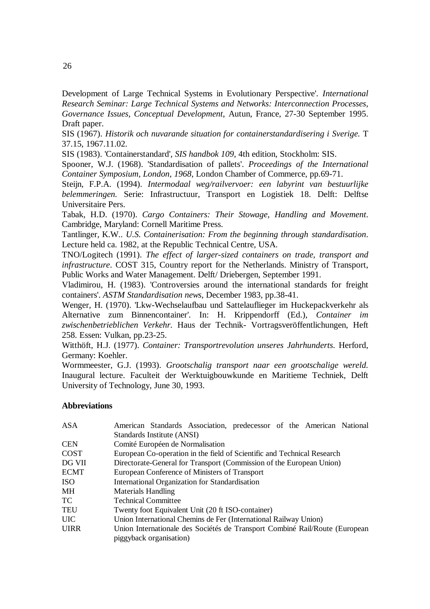Development of Large Technical Systems in Evolutionary Perspective'. *International Research Seminar: Large Technical Systems and Networks: Interconnection Processes, Governance Issues, Conceptual Development*, Autun, France, 27-30 September 1995. Draft paper.

SIS (1967). *Historik och nuvarande situation for containerstandardisering i Sverige.* T 37.15, 1967.11.02.

SIS (1983). 'Containerstandard', *SIS handbok 109*, 4th edition, Stockholm: SIS.

Spooner, W.J. (1968). 'Standardisation of pallets'. *Proceedings of the International Container Symposium, London, 1968*, London Chamber of Commerce, pp.69-71.

Steijn, F.P.A. (1994). *Intermodaal weg/railvervoer: een labyrint van bestuurlijke belemmeringen.* Serie: Infrastructuur, Transport en Logistiek 18. Delft: Delftse Universitaire Pers.

Tabak, H.D. (1970). *Cargo Containers: Their Stowage, Handling and Movement*. Cambridge, Maryland: Cornell Maritime Press.

Tantlinger, K.W.. *U.S. Containerisation: From the beginning through standardisation*. Lecture held ca. 1982, at the Republic Technical Centre, USA.

TNO/Logitech (1991). *The effect of larger-sized containers on trade, transport and infrastructure*. COST 315, Country report for the Netherlands. Ministry of Transport, Public Works and Water Management. Delft/ Driebergen, September 1991.

Vladimirou, H. (1983). 'Controversies around the international standards for freight containers'. *ASTM Standardisation news*, December 1983, pp.38-41.

Wenger, H. (1970). 'Lkw-Wechselaufbau und Sattelauflieger im Huckepackverkehr als Alternative zum Binnencontainer'. In: H. Krippendorff (Ed.), *Container im zwischenbetrieblichen Verkehr.* Haus der Technik- Vortragsveröffentlichungen, Heft 258. Essen: Vulkan, pp.23-25.

Witthöft, H.J. (1977). *Container: Transportrevolution unseres Jahrhunderts*. Herford, Germany: Koehler.

Wormmeester, G.J. (1993). *Grootschalig transport naar een grootschalige wereld.* Inaugural lecture. Faculteit der Werktuigbouwkunde en Maritieme Techniek, Delft University of Technology, June 30, 1993.

## **Abbreviations**

| <b>ASA</b>  | American Standards Association, predecessor of the American National        |
|-------------|-----------------------------------------------------------------------------|
|             | Standards Institute (ANSI)                                                  |
| <b>CEN</b>  | Comité Européen de Normalisation                                            |
| COST        | European Co-operation in the field of Scientific and Technical Research     |
| DG VII      | Directorate-General for Transport (Commission of the European Union)        |
| <b>ECMT</b> | European Conference of Ministers of Transport                               |
| ISO.        | International Organization for Standardisation                              |
| MН          | <b>Materials Handling</b>                                                   |
| TC          | <b>Technical Committee</b>                                                  |
| TEU         | Twenty foot Equivalent Unit (20 ft ISO-container)                           |
| <b>UIC</b>  | Union International Chemins de Fer (International Railway Union)            |
| <b>UIRR</b> | Union Internationale des Sociétés de Transport Combiné Rail/Route (European |
|             | piggyback organisation)                                                     |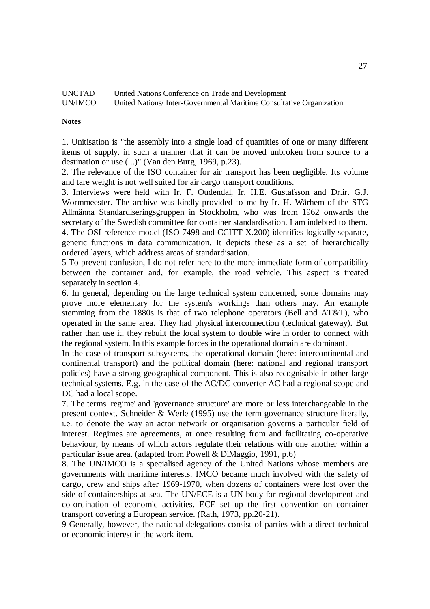| <b>UNCTAD</b> | United Nations Conference on Trade and Development                   |
|---------------|----------------------------------------------------------------------|
| UN/IMCO       | United Nations/Inter-Governmental Maritime Consultative Organization |

#### **Notes**

1. Unitisation is "the assembly into a single load of quantities of one or many different items of supply, in such a manner that it can be moved unbroken from source to a destination or use (...)" (Van den Burg, 1969, p.23).

2. The relevance of the ISO container for air transport has been negligible. Its volume and tare weight is not well suited for air cargo transport conditions.

3. Interviews were held with Ir. F. Oudendal, Ir. H.E. Gustafsson and Dr.ir. G.J. Wormmeester. The archive was kindly provided to me by Ir. H. Wärhem of the STG Allmänna Standardiseringsgruppen in Stockholm, who was from 1962 onwards the secretary of the Swedish committee for container standardisation. I am indebted to them. 4. The OSI reference model (ISO 7498 and CCITT X.200) identifies logically separate, generic functions in data communication. It depicts these as a set of hierarchically ordered layers, which address areas of standardisation.

5 To prevent confusion, I do not refer here to the more immediate form of compatibility between the container and, for example, the road vehicle. This aspect is treated separately in section 4.

6. In general, depending on the large technical system concerned, some domains may prove more elementary for the system's workings than others may. An example stemming from the 1880s is that of two telephone operators (Bell and AT&T), who operated in the same area. They had physical interconnection (technical gateway). But rather than use it, they rebuilt the local system to double wire in order to connect with the regional system. In this example forces in the operational domain are dominant.

In the case of transport subsystems, the operational domain (here: intercontinental and continental transport) and the political domain (here: national and regional transport policies) have a strong geographical component. This is also recognisable in other large technical systems. E.g. in the case of the AC/DC converter AC had a regional scope and DC had a local scope.

7. The terms 'regime' and 'governance structure' are more or less interchangeable in the present context. Schneider & Werle (1995) use the term governance structure literally, i.e. to denote the way an actor network or organisation governs a particular field of interest. Regimes are agreements, at once resulting from and facilitating co-operative behaviour, by means of which actors regulate their relations with one another within a particular issue area. (adapted from Powell & DiMaggio, 1991, p.6)

8. The UN/IMCO is a specialised agency of the United Nations whose members are governments with maritime interests. IMCO became much involved with the safety of cargo, crew and ships after 1969-1970, when dozens of containers were lost over the side of containerships at sea. The UN/ECE is a UN body for regional development and co-ordination of economic activities. ECE set up the first convention on container transport covering a European service. (Rath, 1973, pp.20-21).

9 Generally, however, the national delegations consist of parties with a direct technical or economic interest in the work item.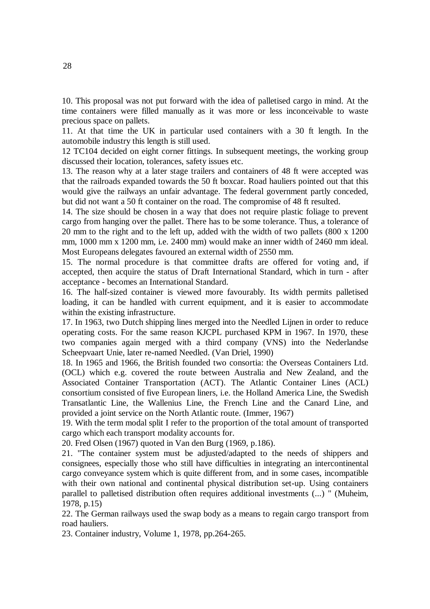10. This proposal was not put forward with the idea of palletised cargo in mind. At the time containers were filled manually as it was more or less inconceivable to waste precious space on pallets.

11. At that time the UK in particular used containers with a 30 ft length. In the automobile industry this length is still used.

12 TC104 decided on eight corner fittings. In subsequent meetings, the working group discussed their location, tolerances, safety issues etc.

13. The reason why at a later stage trailers and containers of 48 ft were accepted was that the railroads expanded towards the 50 ft boxcar. Road hauliers pointed out that this would give the railways an unfair advantage. The federal government partly conceded, but did not want a 50 ft container on the road. The compromise of 48 ft resulted.

14. The size should be chosen in a way that does not require plastic foliage to prevent cargo from hanging over the pallet. There has to be some tolerance. Thus, a tolerance of 20 mm to the right and to the left up, added with the width of two pallets (800 x 1200 mm, 1000 mm x 1200 mm, i.e. 2400 mm) would make an inner width of 2460 mm ideal. Most Europeans delegates favoured an external width of 2550 mm.

15. The normal procedure is that committee drafts are offered for voting and, if accepted, then acquire the status of Draft International Standard, which in turn - after acceptance - becomes an International Standard.

16. The half-sized container is viewed more favourably. Its width permits palletised loading, it can be handled with current equipment, and it is easier to accommodate within the existing infrastructure.

17. In 1963, two Dutch shipping lines merged into the Needled Lijnen in order to reduce operating costs. For the same reason KJCPL purchased KPM in 1967. In 1970, these two companies again merged with a third company (VNS) into the Nederlandse Scheepvaart Unie, later re-named Needled. (Van Driel, 1990)

18. In 1965 and 1966, the British founded two consortia: the Overseas Containers Ltd. (OCL) which e.g. covered the route between Australia and New Zealand, and the Associated Container Transportation (ACT). The Atlantic Container Lines (ACL) consortium consisted of five European liners, i.e. the Holland America Line, the Swedish Transatlantic Line, the Wallenius Line, the French Line and the Canard Line, and provided a joint service on the North Atlantic route. (Immer, 1967)

19. With the term modal split I refer to the proportion of the total amount of transported cargo which each transport modality accounts for.

20. Fred Olsen (1967) quoted in Van den Burg (1969, p.186).

21. "The container system must be adjusted/adapted to the needs of shippers and consignees, especially those who still have difficulties in integrating an intercontinental cargo conveyance system which is quite different from, and in some cases, incompatible with their own national and continental physical distribution set-up. Using containers parallel to palletised distribution often requires additional investments (...) " (Muheim, 1978, p.15)

22. The German railways used the swap body as a means to regain cargo transport from road hauliers.

23. Container industry, Volume 1, 1978, pp.264-265.